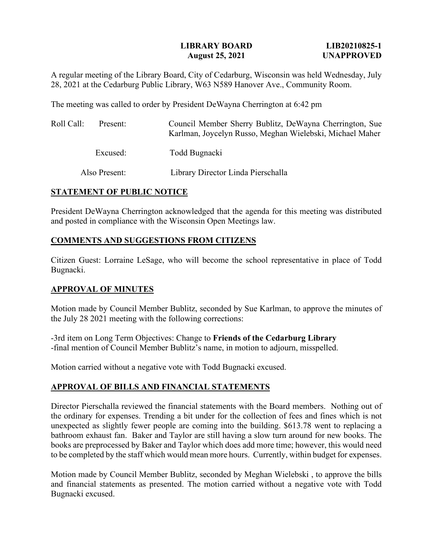## **LIBRARY BOARD LIB20210825-1 August 25, 2021 UNAPPROVED**

A regular meeting of the Library Board, City of Cedarburg, Wisconsin was held Wednesday, July 28, 2021 at the Cedarburg Public Library, W63 N589 Hanover Ave., Community Room.

The meeting was called to order by President DeWayna Cherrington at 6:42 pm

| Roll Call: | Present:      | Council Member Sherry Bublitz, DeWayna Cherrington, Sue<br>Karlman, Joycelyn Russo, Meghan Wielebski, Michael Maher |
|------------|---------------|---------------------------------------------------------------------------------------------------------------------|
|            | Excused:      | Todd Bugnacki                                                                                                       |
|            | Also Present: | Library Director Linda Pierschalla                                                                                  |

# **STATEMENT OF PUBLIC NOTICE**

President DeWayna Cherrington acknowledged that the agenda for this meeting was distributed and posted in compliance with the Wisconsin Open Meetings law.

# **COMMENTS AND SUGGESTIONS FROM CITIZENS**

Citizen Guest: Lorraine LeSage, who will become the school representative in place of Todd Bugnacki.

## **APPROVAL OF MINUTES**

Motion made by Council Member Bublitz, seconded by Sue Karlman, to approve the minutes of the July 28 2021 meeting with the following corrections:

-3rd item on Long Term Objectives: Change to **Friends of the Cedarburg Library** -final mention of Council Member Bublitz's name, in motion to adjourn, misspelled.

Motion carried without a negative vote with Todd Bugnacki excused.

# **APPROVAL OF BILLS AND FINANCIAL STATEMENTS**

Director Pierschalla reviewed the financial statements with the Board members. Nothing out of the ordinary for expenses. Trending a bit under for the collection of fees and fines which is not unexpected as slightly fewer people are coming into the building. \$613.78 went to replacing a bathroom exhaust fan. Baker and Taylor are still having a slow turn around for new books. The books are preprocessed by Baker and Taylor which does add more time; however, this would need to be completed by the staff which would mean more hours. Currently, within budget for expenses.

Motion made by Council Member Bublitz, seconded by Meghan Wielebski , to approve the bills and financial statements as presented. The motion carried without a negative vote with Todd Bugnacki excused.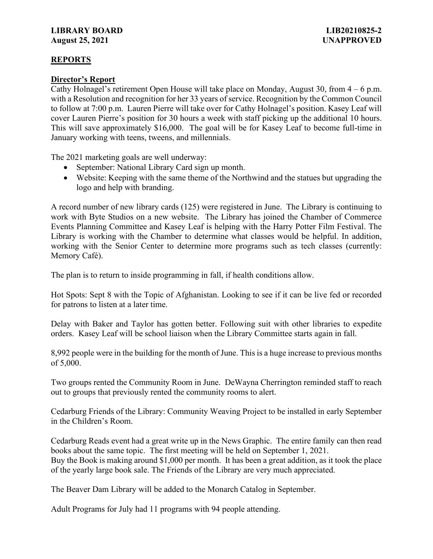# **REPORTS**

# **Director's Report**

Cathy Holnagel's retirement Open House will take place on Monday, August 30, from 4 – 6 p.m. with a Resolution and recognition for her 33 years of service. Recognition by the Common Council to follow at 7:00 p.m. Lauren Pierre will take over for Cathy Holnagel's position. Kasey Leaf will cover Lauren Pierre's position for 30 hours a week with staff picking up the additional 10 hours. This will save approximately \$16,000. The goal will be for Kasey Leaf to become full-time in January working with teens, tweens, and millennials.

The 2021 marketing goals are well underway:

- September: National Library Card sign up month.
- Website: Keeping with the same theme of the Northwind and the statues but upgrading the logo and help with branding.

A record number of new library cards (125) were registered in June. The Library is continuing to work with Byte Studios on a new website. The Library has joined the Chamber of Commerce Events Planning Committee and Kasey Leaf is helping with the Harry Potter Film Festival. The Library is working with the Chamber to determine what classes would be helpful. In addition, working with the Senior Center to determine more programs such as tech classes (currently: Memory Café).

The plan is to return to inside programming in fall, if health conditions allow.

Hot Spots: Sept 8 with the Topic of Afghanistan. Looking to see if it can be live fed or recorded for patrons to listen at a later time.

Delay with Baker and Taylor has gotten better. Following suit with other libraries to expedite orders. Kasey Leaf will be school liaison when the Library Committee starts again in fall.

8,992 people were in the building for the month of June. This is a huge increase to previous months of 5,000.

Two groups rented the Community Room in June. DeWayna Cherrington reminded staff to reach out to groups that previously rented the community rooms to alert.

Cedarburg Friends of the Library: Community Weaving Project to be installed in early September in the Children's Room.

Cedarburg Reads event had a great write up in the News Graphic. The entire family can then read books about the same topic. The first meeting will be held on September 1, 2021. Buy the Book is making around \$1,000 per month. It has been a great addition, as it took the place of the yearly large book sale. The Friends of the Library are very much appreciated.

The Beaver Dam Library will be added to the Monarch Catalog in September.

Adult Programs for July had 11 programs with 94 people attending.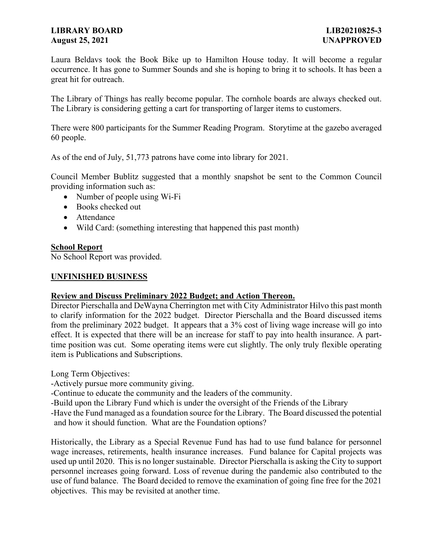# **LIBRARY BOARD LIB20210825-3 August 25, 2021 UNAPPROVED**

Laura Beldavs took the Book Bike up to Hamilton House today. It will become a regular occurrence. It has gone to Summer Sounds and she is hoping to bring it to schools. It has been a great hit for outreach.

The Library of Things has really become popular. The cornhole boards are always checked out. The Library is considering getting a cart for transporting of larger items to customers.

There were 800 participants for the Summer Reading Program. Storytime at the gazebo averaged 60 people.

As of the end of July, 51,773 patrons have come into library for 2021.

Council Member Bublitz suggested that a monthly snapshot be sent to the Common Council providing information such as:

- Number of people using Wi-Fi
- Books checked out
- Attendance
- Wild Card: (something interesting that happened this past month)

## **School Report**

No School Report was provided.

# **UNFINISHED BUSINESS**

## **Review and Discuss Preliminary 2022 Budget; and Action Thereon.**

Director Pierschalla and DeWayna Cherrington met with City Administrator Hilvo this past month to clarify information for the 2022 budget. Director Pierschalla and the Board discussed items from the preliminary 2022 budget. It appears that a 3% cost of living wage increase will go into effect. It is expected that there will be an increase for staff to pay into health insurance. A parttime position was cut. Some operating items were cut slightly. The only truly flexible operating item is Publications and Subscriptions.

Long Term Objectives:

-Actively pursue more community giving.

-Continue to educate the community and the leaders of the community.

-Build upon the Library Fund which is under the oversight of the Friends of the Library

-Have the Fund managed as a foundation source for the Library. The Board discussed the potential and how it should function. What are the Foundation options?

Historically, the Library as a Special Revenue Fund has had to use fund balance for personnel wage increases, retirements, health insurance increases. Fund balance for Capital projects was used up until 2020. This is no longer sustainable. Director Pierschalla is asking the City to support personnel increases going forward. Loss of revenue during the pandemic also contributed to the use of fund balance. The Board decided to remove the examination of going fine free for the 2021 objectives. This may be revisited at another time.